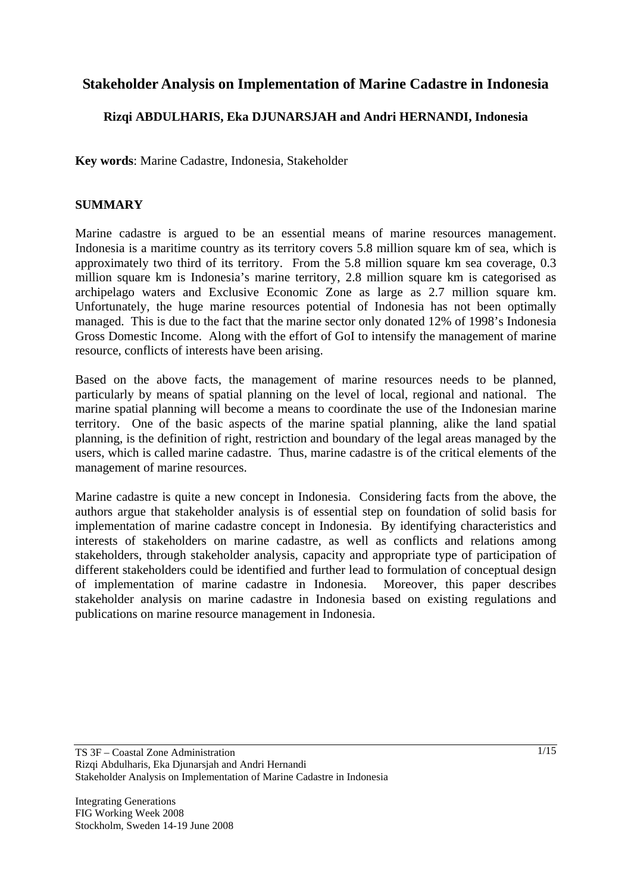# **Stakeholder Analysis on Implementation of Marine Cadastre in Indonesia**

### **Rizqi ABDULHARIS, Eka DJUNARSJAH and Andri HERNANDI, Indonesia**

**Key words**: Marine Cadastre, Indonesia, Stakeholder

#### **SUMMARY**

Marine cadastre is argued to be an essential means of marine resources management. Indonesia is a maritime country as its territory covers 5.8 million square km of sea, which is approximately two third of its territory. From the 5.8 million square km sea coverage, 0.3 million square km is Indonesia's marine territory, 2.8 million square km is categorised as archipelago waters and Exclusive Economic Zone as large as 2.7 million square km. Unfortunately, the huge marine resources potential of Indonesia has not been optimally managed. This is due to the fact that the marine sector only donated 12% of 1998's Indonesia Gross Domestic Income. Along with the effort of GoI to intensify the management of marine resource, conflicts of interests have been arising.

Based on the above facts, the management of marine resources needs to be planned, particularly by means of spatial planning on the level of local, regional and national. The marine spatial planning will become a means to coordinate the use of the Indonesian marine territory. One of the basic aspects of the marine spatial planning, alike the land spatial planning, is the definition of right, restriction and boundary of the legal areas managed by the users, which is called marine cadastre. Thus, marine cadastre is of the critical elements of the management of marine resources.

Marine cadastre is quite a new concept in Indonesia. Considering facts from the above, the authors argue that stakeholder analysis is of essential step on foundation of solid basis for implementation of marine cadastre concept in Indonesia. By identifying characteristics and interests of stakeholders on marine cadastre, as well as conflicts and relations among stakeholders, through stakeholder analysis, capacity and appropriate type of participation of different stakeholders could be identified and further lead to formulation of conceptual design of implementation of marine cadastre in Indonesia. Moreover, this paper describes stakeholder analysis on marine cadastre in Indonesia based on existing regulations and publications on marine resource management in Indonesia.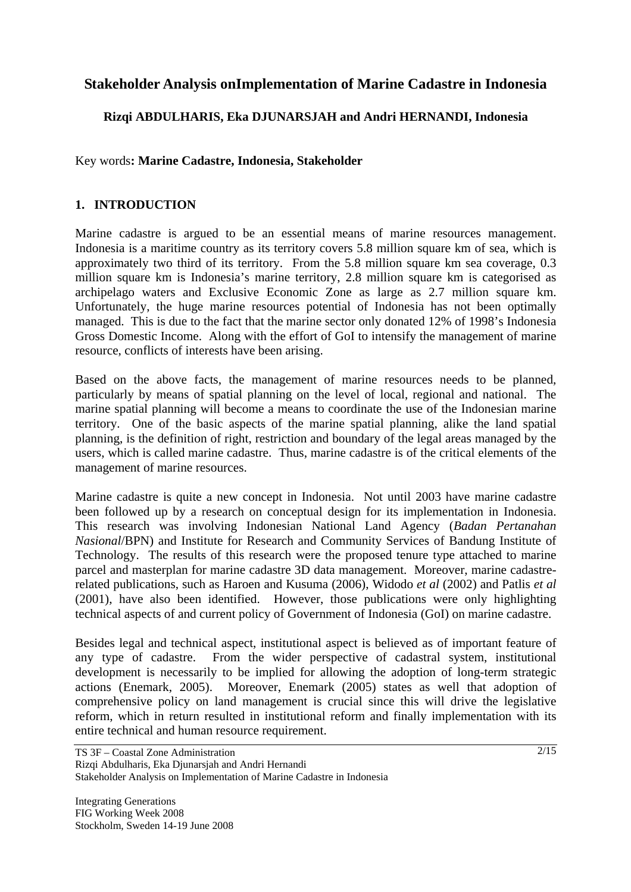# **Stakeholder Analysis onImplementation of Marine Cadastre in Indonesia**

## **Rizqi ABDULHARIS, Eka DJUNARSJAH and Andri HERNANDI, Indonesia**

Key words**: Marine Cadastre, Indonesia, Stakeholder** 

## **1. INTRODUCTION**

Marine cadastre is argued to be an essential means of marine resources management. Indonesia is a maritime country as its territory covers 5.8 million square km of sea, which is approximately two third of its territory. From the 5.8 million square km sea coverage, 0.3 million square km is Indonesia's marine territory, 2.8 million square km is categorised as archipelago waters and Exclusive Economic Zone as large as 2.7 million square km. Unfortunately, the huge marine resources potential of Indonesia has not been optimally managed. This is due to the fact that the marine sector only donated 12% of 1998's Indonesia Gross Domestic Income. Along with the effort of GoI to intensify the management of marine resource, conflicts of interests have been arising.

Based on the above facts, the management of marine resources needs to be planned, particularly by means of spatial planning on the level of local, regional and national. The marine spatial planning will become a means to coordinate the use of the Indonesian marine territory. One of the basic aspects of the marine spatial planning, alike the land spatial planning, is the definition of right, restriction and boundary of the legal areas managed by the users, which is called marine cadastre. Thus, marine cadastre is of the critical elements of the management of marine resources.

Marine cadastre is quite a new concept in Indonesia. Not until 2003 have marine cadastre been followed up by a research on conceptual design for its implementation in Indonesia. This research was involving Indonesian National Land Agency (*Badan Pertanahan Nasional*/BPN) and Institute for Research and Community Services of Bandung Institute of Technology. The results of this research were the proposed tenure type attached to marine parcel and masterplan for marine cadastre 3D data management. Moreover, marine cadastrerelated publications, such as Haroen and Kusuma (2006), Widodo *et al* (2002) and Patlis *et al*  (2001), have also been identified. However, those publications were only highlighting technical aspects of and current policy of Government of Indonesia (GoI) on marine cadastre.

Besides legal and technical aspect, institutional aspect is believed as of important feature of any type of cadastre. From the wider perspective of cadastral system, institutional development is necessarily to be implied for allowing the adoption of long-term strategic actions (Enemark, 2005). Moreover, Enemark (2005) states as well that adoption of comprehensive policy on land management is crucial since this will drive the legislative reform, which in return resulted in institutional reform and finally implementation with its entire technical and human resource requirement.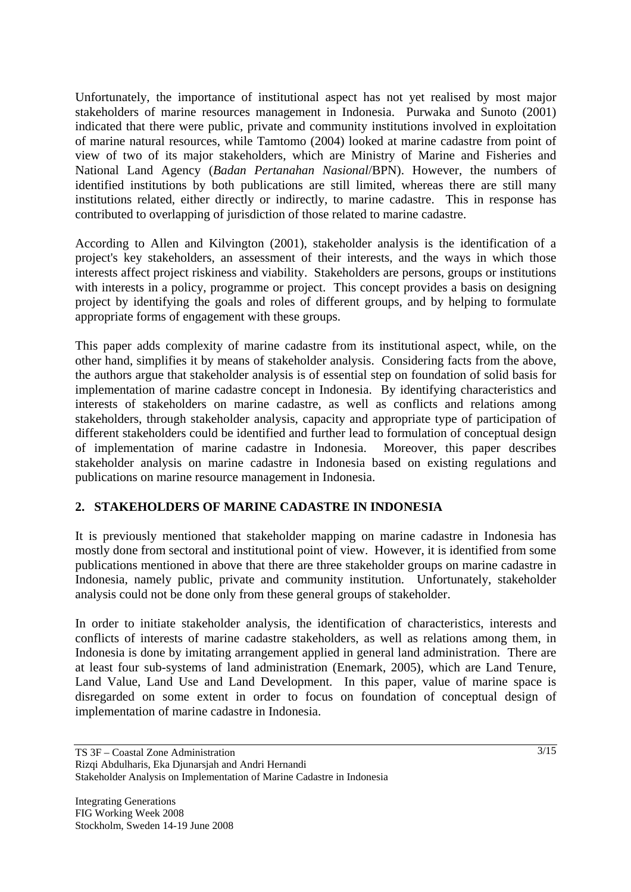Unfortunately, the importance of institutional aspect has not yet realised by most major stakeholders of marine resources management in Indonesia. Purwaka and Sunoto (2001) indicated that there were public, private and community institutions involved in exploitation of marine natural resources, while Tamtomo (2004) looked at marine cadastre from point of view of two of its major stakeholders, which are Ministry of Marine and Fisheries and National Land Agency (*Badan Pertanahan Nasional*/BPN). However, the numbers of identified institutions by both publications are still limited, whereas there are still many institutions related, either directly or indirectly, to marine cadastre. This in response has contributed to overlapping of jurisdiction of those related to marine cadastre.

According to Allen and Kilvington (2001), stakeholder analysis is the identification of a project's key stakeholders, an assessment of their interests, and the ways in which those interests affect project riskiness and viability. Stakeholders are persons, groups or institutions with interests in a policy, programme or project. This concept provides a basis on designing project by identifying the goals and roles of different groups, and by helping to formulate appropriate forms of engagement with these groups.

This paper adds complexity of marine cadastre from its institutional aspect, while, on the other hand, simplifies it by means of stakeholder analysis. Considering facts from the above, the authors argue that stakeholder analysis is of essential step on foundation of solid basis for implementation of marine cadastre concept in Indonesia. By identifying characteristics and interests of stakeholders on marine cadastre, as well as conflicts and relations among stakeholders, through stakeholder analysis, capacity and appropriate type of participation of different stakeholders could be identified and further lead to formulation of conceptual design of implementation of marine cadastre in Indonesia. Moreover, this paper describes stakeholder analysis on marine cadastre in Indonesia based on existing regulations and publications on marine resource management in Indonesia.

## **2. STAKEHOLDERS OF MARINE CADASTRE IN INDONESIA**

It is previously mentioned that stakeholder mapping on marine cadastre in Indonesia has mostly done from sectoral and institutional point of view. However, it is identified from some publications mentioned in above that there are three stakeholder groups on marine cadastre in Indonesia, namely public, private and community institution. Unfortunately, stakeholder analysis could not be done only from these general groups of stakeholder.

In order to initiate stakeholder analysis, the identification of characteristics, interests and conflicts of interests of marine cadastre stakeholders, as well as relations among them, in Indonesia is done by imitating arrangement applied in general land administration. There are at least four sub-systems of land administration (Enemark, 2005), which are Land Tenure, Land Value, Land Use and Land Development. In this paper, value of marine space is disregarded on some extent in order to focus on foundation of conceptual design of implementation of marine cadastre in Indonesia.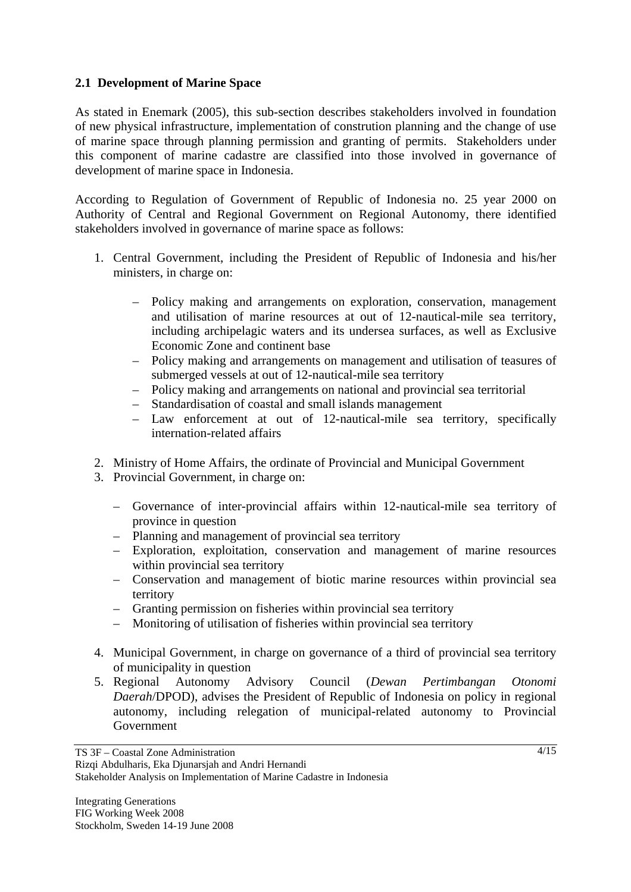## **2.1 Development of Marine Space**

As stated in Enemark (2005), this sub-section describes stakeholders involved in foundation of new physical infrastructure, implementation of constrution planning and the change of use of marine space through planning permission and granting of permits. Stakeholders under this component of marine cadastre are classified into those involved in governance of development of marine space in Indonesia.

According to Regulation of Government of Republic of Indonesia no. 25 year 2000 on Authority of Central and Regional Government on Regional Autonomy, there identified stakeholders involved in governance of marine space as follows:

- 1. Central Government, including the President of Republic of Indonesia and his/her ministers, in charge on:
	- Policy making and arrangements on exploration, conservation, management and utilisation of marine resources at out of 12-nautical-mile sea territory, including archipelagic waters and its undersea surfaces, as well as Exclusive Economic Zone and continent base
	- Policy making and arrangements on management and utilisation of teasures of submerged vessels at out of 12-nautical-mile sea territory
	- Policy making and arrangements on national and provincial sea territorial
	- Standardisation of coastal and small islands management
	- Law enforcement at out of 12-nautical-mile sea territory, specifically internation-related affairs
- 2. Ministry of Home Affairs, the ordinate of Provincial and Municipal Government
- 3. Provincial Government, in charge on:
	- Governance of inter-provincial affairs within 12-nautical-mile sea territory of province in question
	- Planning and management of provincial sea territory
	- Exploration, exploitation, conservation and management of marine resources within provincial sea territory
	- Conservation and management of biotic marine resources within provincial sea territory
	- Granting permission on fisheries within provincial sea territory
	- Monitoring of utilisation of fisheries within provincial sea territory
- 4. Municipal Government, in charge on governance of a third of provincial sea territory of municipality in question
- 5. Regional Autonomy Advisory Council (*Dewan Pertimbangan Otonomi Daerah*/DPOD), advises the President of Republic of Indonesia on policy in regional autonomy, including relegation of municipal-related autonomy to Provincial Government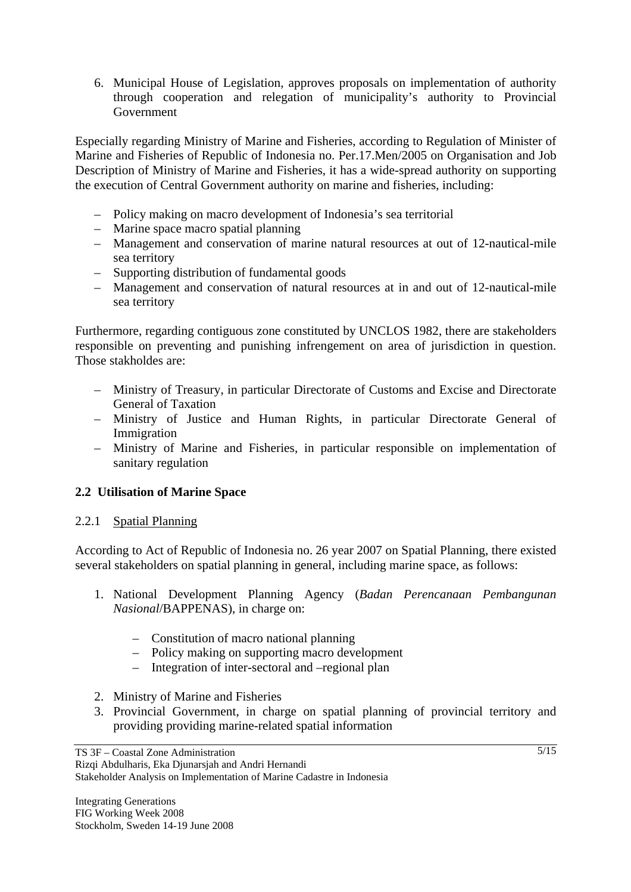6. Municipal House of Legislation, approves proposals on implementation of authority through cooperation and relegation of municipality's authority to Provincial Government

Especially regarding Ministry of Marine and Fisheries, according to Regulation of Minister of Marine and Fisheries of Republic of Indonesia no. Per.17.Men/2005 on Organisation and Job Description of Ministry of Marine and Fisheries, it has a wide-spread authority on supporting the execution of Central Government authority on marine and fisheries, including:

- Policy making on macro development of Indonesia's sea territorial
- Marine space macro spatial planning
- Management and conservation of marine natural resources at out of 12-nautical-mile sea territory
- Supporting distribution of fundamental goods
- Management and conservation of natural resources at in and out of 12-nautical-mile sea territory

Furthermore, regarding contiguous zone constituted by UNCLOS 1982, there are stakeholders responsible on preventing and punishing infrengement on area of jurisdiction in question. Those stakholdes are:

- Ministry of Treasury, in particular Directorate of Customs and Excise and Directorate General of Taxation
- Ministry of Justice and Human Rights, in particular Directorate General of Immigration
- Ministry of Marine and Fisheries, in particular responsible on implementation of sanitary regulation

## **2.2 Utilisation of Marine Space**

## 2.2.1 Spatial Planning

According to Act of Republic of Indonesia no. 26 year 2007 on Spatial Planning, there existed several stakeholders on spatial planning in general, including marine space, as follows:

- 1. National Development Planning Agency (*Badan Perencanaan Pembangunan Nasional*/BAPPENAS), in charge on:
	- Constitution of macro national planning
	- Policy making on supporting macro development
	- Integration of inter-sectoral and –regional plan
- 2. Ministry of Marine and Fisheries
- 3. Provincial Government, in charge on spatial planning of provincial territory and providing providing marine-related spatial information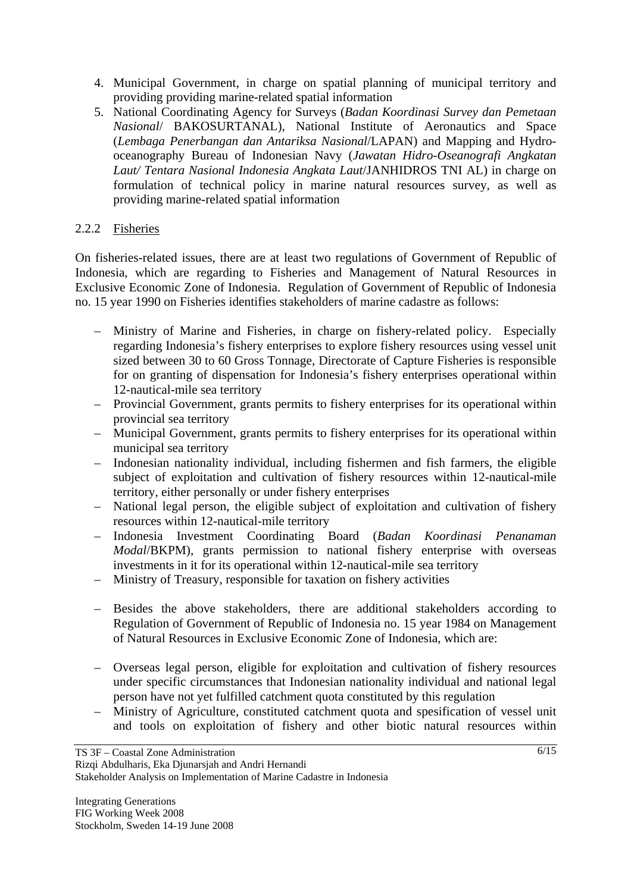- 4. Municipal Government, in charge on spatial planning of municipal territory and providing providing marine-related spatial information
- 5. National Coordinating Agency for Surveys (*Badan Koordinasi Survey dan Pemetaan Nasional*/ BAKOSURTANAL), National Institute of Aeronautics and Space (*Lembaga Penerbangan dan Antariksa Nasional*/LAPAN) and Mapping and Hydrooceanography Bureau of Indonesian Navy (*Jawatan Hidro-Oseanografi Angkatan Laut/ Tentara Nasional Indonesia Angkata Laut*/JANHIDROS TNI AL) in charge on formulation of technical policy in marine natural resources survey, as well as providing marine-related spatial information

## 2.2.2 Fisheries

On fisheries-related issues, there are at least two regulations of Government of Republic of Indonesia, which are regarding to Fisheries and Management of Natural Resources in Exclusive Economic Zone of Indonesia. Regulation of Government of Republic of Indonesia no. 15 year 1990 on Fisheries identifies stakeholders of marine cadastre as follows:

- Ministry of Marine and Fisheries, in charge on fishery-related policy. Especially regarding Indonesia's fishery enterprises to explore fishery resources using vessel unit sized between 30 to 60 Gross Tonnage, Directorate of Capture Fisheries is responsible for on granting of dispensation for Indonesia's fishery enterprises operational within 12-nautical-mile sea territory
- Provincial Government, grants permits to fishery enterprises for its operational within provincial sea territory
- Municipal Government, grants permits to fishery enterprises for its operational within municipal sea territory
- Indonesian nationality individual, including fishermen and fish farmers, the eligible subject of exploitation and cultivation of fishery resources within 12-nautical-mile territory, either personally or under fishery enterprises
- National legal person, the eligible subject of exploitation and cultivation of fishery resources within 12-nautical-mile territory
- Indonesia Investment Coordinating Board (*Badan Koordinasi Penanaman Modal*/BKPM), grants permission to national fishery enterprise with overseas investments in it for its operational within 12-nautical-mile sea territory
- Ministry of Treasury, responsible for taxation on fishery activities
- Besides the above stakeholders, there are additional stakeholders according to Regulation of Government of Republic of Indonesia no. 15 year 1984 on Management of Natural Resources in Exclusive Economic Zone of Indonesia, which are:
- Overseas legal person, eligible for exploitation and cultivation of fishery resources under specific circumstances that Indonesian nationality individual and national legal person have not yet fulfilled catchment quota constituted by this regulation
- Ministry of Agriculture, constituted catchment quota and spesification of vessel unit and tools on exploitation of fishery and other biotic natural resources within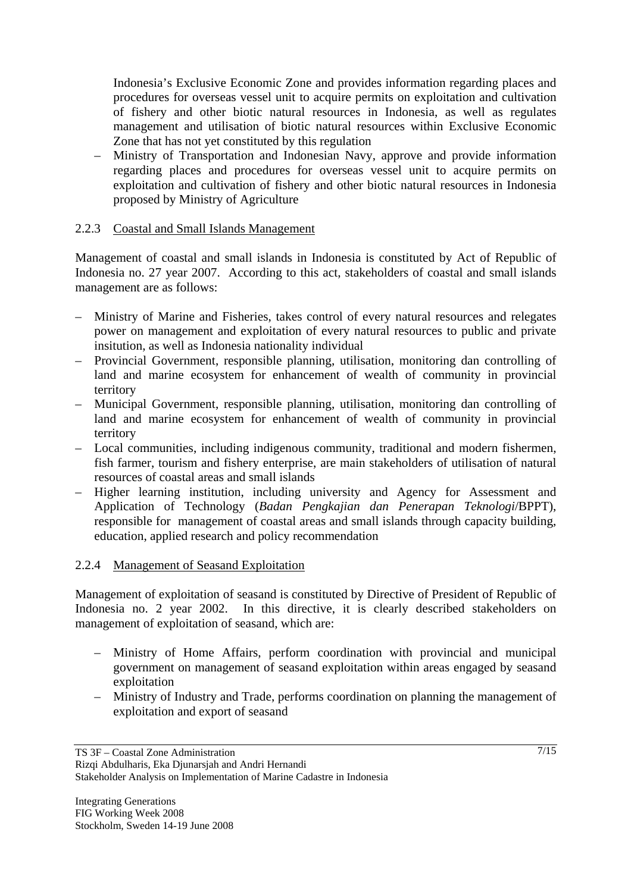Indonesia's Exclusive Economic Zone and provides information regarding places and procedures for overseas vessel unit to acquire permits on exploitation and cultivation of fishery and other biotic natural resources in Indonesia, as well as regulates management and utilisation of biotic natural resources within Exclusive Economic Zone that has not yet constituted by this regulation

– Ministry of Transportation and Indonesian Navy, approve and provide information regarding places and procedures for overseas vessel unit to acquire permits on exploitation and cultivation of fishery and other biotic natural resources in Indonesia proposed by Ministry of Agriculture

#### 2.2.3 Coastal and Small Islands Management

Management of coastal and small islands in Indonesia is constituted by Act of Republic of Indonesia no. 27 year 2007. According to this act, stakeholders of coastal and small islands management are as follows:

- Ministry of Marine and Fisheries, takes control of every natural resources and relegates power on management and exploitation of every natural resources to public and private insitution, as well as Indonesia nationality individual
- Provincial Government, responsible planning, utilisation, monitoring dan controlling of land and marine ecosystem for enhancement of wealth of community in provincial territory
- Municipal Government, responsible planning, utilisation, monitoring dan controlling of land and marine ecosystem for enhancement of wealth of community in provincial territory
- Local communities, including indigenous community, traditional and modern fishermen, fish farmer, tourism and fishery enterprise, are main stakeholders of utilisation of natural resources of coastal areas and small islands
- Higher learning institution, including university and Agency for Assessment and Application of Technology (*Badan Pengkajian dan Penerapan Teknologi*/BPPT), responsible for management of coastal areas and small islands through capacity building, education, applied research and policy recommendation

#### 2.2.4 Management of Seasand Exploitation

Management of exploitation of seasand is constituted by Directive of President of Republic of Indonesia no. 2 year 2002. In this directive, it is clearly described stakeholders on management of exploitation of seasand, which are:

- Ministry of Home Affairs, perform coordination with provincial and municipal government on management of seasand exploitation within areas engaged by seasand exploitation
- Ministry of Industry and Trade, performs coordination on planning the management of exploitation and export of seasand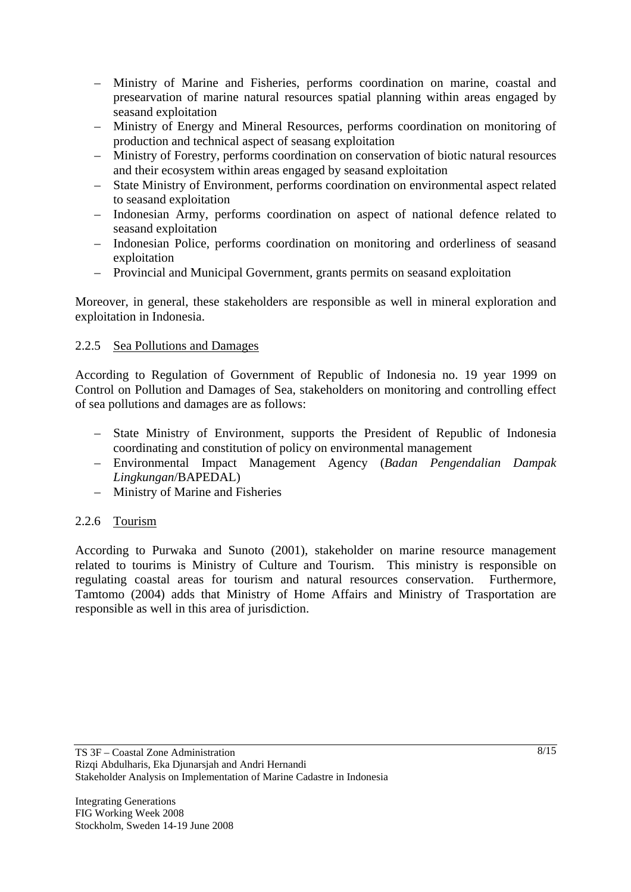- Ministry of Marine and Fisheries, performs coordination on marine, coastal and presearvation of marine natural resources spatial planning within areas engaged by seasand exploitation
- Ministry of Energy and Mineral Resources, performs coordination on monitoring of production and technical aspect of seasang exploitation
- Ministry of Forestry, performs coordination on conservation of biotic natural resources and their ecosystem within areas engaged by seasand exploitation
- State Ministry of Environment, performs coordination on environmental aspect related to seasand exploitation
- Indonesian Army, performs coordination on aspect of national defence related to seasand exploitation
- Indonesian Police, performs coordination on monitoring and orderliness of seasand exploitation
- Provincial and Municipal Government, grants permits on seasand exploitation

Moreover, in general, these stakeholders are responsible as well in mineral exploration and exploitation in Indonesia.

## 2.2.5 Sea Pollutions and Damages

According to Regulation of Government of Republic of Indonesia no. 19 year 1999 on Control on Pollution and Damages of Sea, stakeholders on monitoring and controlling effect of sea pollutions and damages are as follows:

- State Ministry of Environment, supports the President of Republic of Indonesia coordinating and constitution of policy on environmental management
- Environmental Impact Management Agency (*Badan Pengendalian Dampak Lingkungan*/BAPEDAL)
- Ministry of Marine and Fisheries

#### 2.2.6 Tourism

According to Purwaka and Sunoto (2001), stakeholder on marine resource management related to tourims is Ministry of Culture and Tourism. This ministry is responsible on regulating coastal areas for tourism and natural resources conservation. Furthermore, Tamtomo (2004) adds that Ministry of Home Affairs and Ministry of Trasportation are responsible as well in this area of jurisdiction.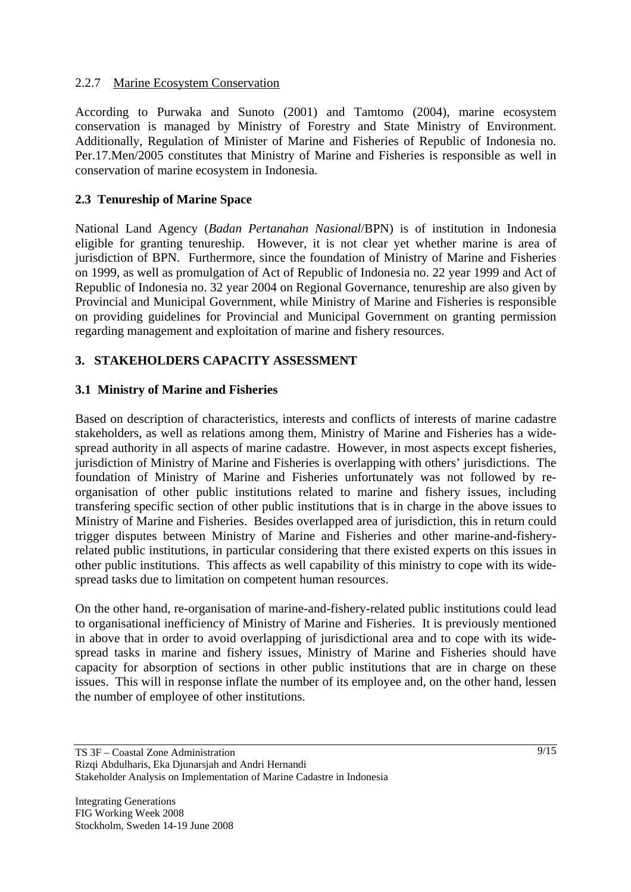### 2.2.7 Marine Ecosystem Conservation

According to Purwaka and Sunoto (2001) and Tamtomo (2004), marine ecosystem conservation is managed by Ministry of Forestry and State Ministry of Environment. Additionally, Regulation of Minister of Marine and Fisheries of Republic of Indonesia no. Per.17.Men/2005 constitutes that Ministry of Marine and Fisheries is responsible as well in conservation of marine ecosystem in Indonesia.

## **2.3 Tenureship of Marine Space**

National Land Agency (*Badan Pertanahan Nasional*/BPN) is of institution in Indonesia eligible for granting tenureship. However, it is not clear yet whether marine is area of jurisdiction of BPN. Furthermore, since the foundation of Ministry of Marine and Fisheries on 1999, as well as promulgation of Act of Republic of Indonesia no. 22 year 1999 and Act of Republic of Indonesia no. 32 year 2004 on Regional Governance, tenureship are also given by Provincial and Municipal Government, while Ministry of Marine and Fisheries is responsible on providing guidelines for Provincial and Municipal Government on granting permission regarding management and exploitation of marine and fishery resources.

## **3. STAKEHOLDERS CAPACITY ASSESSMENT**

#### **3.1 Ministry of Marine and Fisheries**

Based on description of characteristics, interests and conflicts of interests of marine cadastre stakeholders, as well as relations among them, Ministry of Marine and Fisheries has a widespread authority in all aspects of marine cadastre. However, in most aspects except fisheries, jurisdiction of Ministry of Marine and Fisheries is overlapping with others' jurisdictions. The foundation of Ministry of Marine and Fisheries unfortunately was not followed by reorganisation of other public institutions related to marine and fishery issues, including transfering specific section of other public institutions that is in charge in the above issues to Ministry of Marine and Fisheries. Besides overlapped area of jurisdiction, this in return could trigger disputes between Ministry of Marine and Fisheries and other marine-and-fisheryrelated public institutions, in particular considering that there existed experts on this issues in other public institutions. This affects as well capability of this ministry to cope with its widespread tasks due to limitation on competent human resources.

On the other hand, re-organisation of marine-and-fishery-related public institutions could lead to organisational inefficiency of Ministry of Marine and Fisheries. It is previously mentioned in above that in order to avoid overlapping of jurisdictional area and to cope with its widespread tasks in marine and fishery issues, Ministry of Marine and Fisheries should have capacity for absorption of sections in other public institutions that are in charge on these issues. This will in response inflate the number of its employee and, on the other hand, lessen the number of employee of other institutions.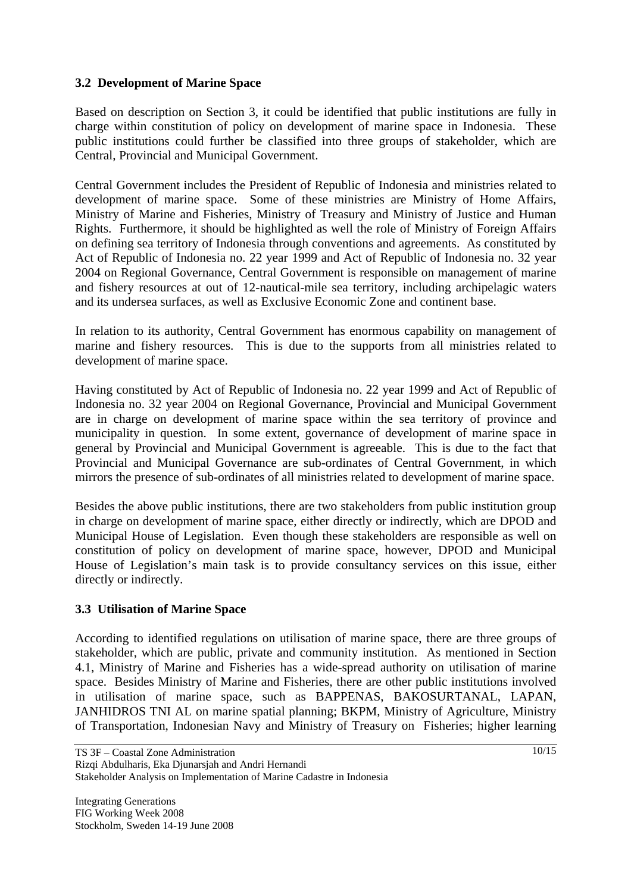### **3.2 Development of Marine Space**

Based on description on Section 3, it could be identified that public institutions are fully in charge within constitution of policy on development of marine space in Indonesia. These public institutions could further be classified into three groups of stakeholder, which are Central, Provincial and Municipal Government.

Central Government includes the President of Republic of Indonesia and ministries related to development of marine space. Some of these ministries are Ministry of Home Affairs, Ministry of Marine and Fisheries, Ministry of Treasury and Ministry of Justice and Human Rights. Furthermore, it should be highlighted as well the role of Ministry of Foreign Affairs on defining sea territory of Indonesia through conventions and agreements. As constituted by Act of Republic of Indonesia no. 22 year 1999 and Act of Republic of Indonesia no. 32 year 2004 on Regional Governance, Central Government is responsible on management of marine and fishery resources at out of 12-nautical-mile sea territory, including archipelagic waters and its undersea surfaces, as well as Exclusive Economic Zone and continent base.

In relation to its authority, Central Government has enormous capability on management of marine and fishery resources. This is due to the supports from all ministries related to development of marine space.

Having constituted by Act of Republic of Indonesia no. 22 year 1999 and Act of Republic of Indonesia no. 32 year 2004 on Regional Governance, Provincial and Municipal Government are in charge on development of marine space within the sea territory of province and municipality in question. In some extent, governance of development of marine space in general by Provincial and Municipal Government is agreeable. This is due to the fact that Provincial and Municipal Governance are sub-ordinates of Central Government, in which mirrors the presence of sub-ordinates of all ministries related to development of marine space.

Besides the above public institutions, there are two stakeholders from public institution group in charge on development of marine space, either directly or indirectly, which are DPOD and Municipal House of Legislation. Even though these stakeholders are responsible as well on constitution of policy on development of marine space, however, DPOD and Municipal House of Legislation's main task is to provide consultancy services on this issue, either directly or indirectly.

#### **3.3 Utilisation of Marine Space**

According to identified regulations on utilisation of marine space, there are three groups of stakeholder, which are public, private and community institution. As mentioned in Section 4.1, Ministry of Marine and Fisheries has a wide-spread authority on utilisation of marine space. Besides Ministry of Marine and Fisheries, there are other public institutions involved in utilisation of marine space, such as BAPPENAS, BAKOSURTANAL, LAPAN, JANHIDROS TNI AL on marine spatial planning; BKPM, Ministry of Agriculture, Ministry of Transportation, Indonesian Navy and Ministry of Treasury on Fisheries; higher learning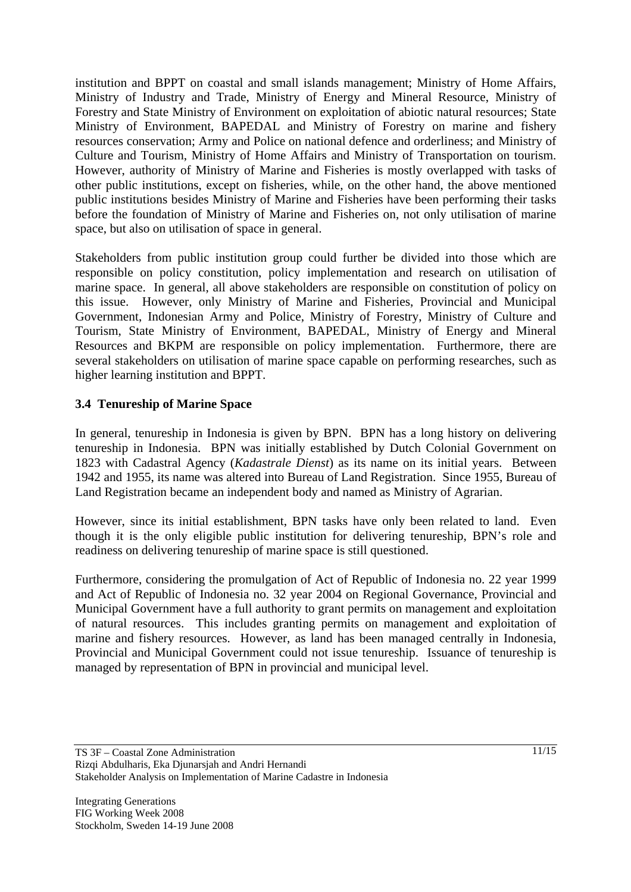institution and BPPT on coastal and small islands management; Ministry of Home Affairs, Ministry of Industry and Trade, Ministry of Energy and Mineral Resource, Ministry of Forestry and State Ministry of Environment on exploitation of abiotic natural resources; State Ministry of Environment, BAPEDAL and Ministry of Forestry on marine and fishery resources conservation; Army and Police on national defence and orderliness; and Ministry of Culture and Tourism, Ministry of Home Affairs and Ministry of Transportation on tourism. However, authority of Ministry of Marine and Fisheries is mostly overlapped with tasks of other public institutions, except on fisheries, while, on the other hand, the above mentioned public institutions besides Ministry of Marine and Fisheries have been performing their tasks before the foundation of Ministry of Marine and Fisheries on, not only utilisation of marine space, but also on utilisation of space in general.

Stakeholders from public institution group could further be divided into those which are responsible on policy constitution, policy implementation and research on utilisation of marine space. In general, all above stakeholders are responsible on constitution of policy on this issue. However, only Ministry of Marine and Fisheries, Provincial and Municipal Government, Indonesian Army and Police, Ministry of Forestry, Ministry of Culture and Tourism, State Ministry of Environment, BAPEDAL, Ministry of Energy and Mineral Resources and BKPM are responsible on policy implementation. Furthermore, there are several stakeholders on utilisation of marine space capable on performing researches, such as higher learning institution and BPPT.

## **3.4 Tenureship of Marine Space**

In general, tenureship in Indonesia is given by BPN. BPN has a long history on delivering tenureship in Indonesia. BPN was initially established by Dutch Colonial Government on 1823 with Cadastral Agency (*Kadastrale Dienst*) as its name on its initial years. Between 1942 and 1955, its name was altered into Bureau of Land Registration. Since 1955, Bureau of Land Registration became an independent body and named as Ministry of Agrarian.

However, since its initial establishment, BPN tasks have only been related to land. Even though it is the only eligible public institution for delivering tenureship, BPN's role and readiness on delivering tenureship of marine space is still questioned.

Furthermore, considering the promulgation of Act of Republic of Indonesia no. 22 year 1999 and Act of Republic of Indonesia no. 32 year 2004 on Regional Governance, Provincial and Municipal Government have a full authority to grant permits on management and exploitation of natural resources. This includes granting permits on management and exploitation of marine and fishery resources. However, as land has been managed centrally in Indonesia, Provincial and Municipal Government could not issue tenureship. Issuance of tenureship is managed by representation of BPN in provincial and municipal level.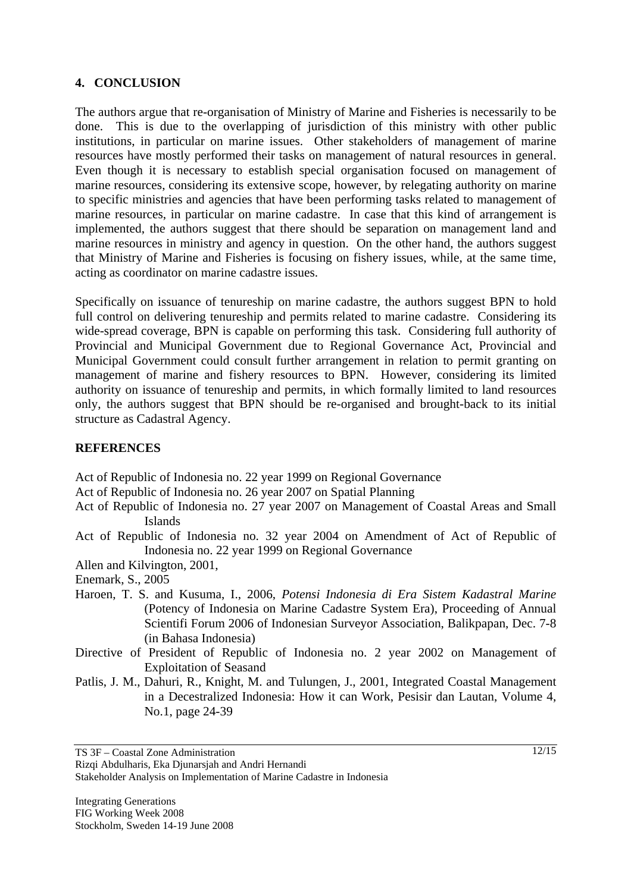### **4. CONCLUSION**

The authors argue that re-organisation of Ministry of Marine and Fisheries is necessarily to be done. This is due to the overlapping of jurisdiction of this ministry with other public institutions, in particular on marine issues. Other stakeholders of management of marine resources have mostly performed their tasks on management of natural resources in general. Even though it is necessary to establish special organisation focused on management of marine resources, considering its extensive scope, however, by relegating authority on marine to specific ministries and agencies that have been performing tasks related to management of marine resources, in particular on marine cadastre. In case that this kind of arrangement is implemented, the authors suggest that there should be separation on management land and marine resources in ministry and agency in question. On the other hand, the authors suggest that Ministry of Marine and Fisheries is focusing on fishery issues, while, at the same time, acting as coordinator on marine cadastre issues.

Specifically on issuance of tenureship on marine cadastre, the authors suggest BPN to hold full control on delivering tenureship and permits related to marine cadastre. Considering its wide-spread coverage, BPN is capable on performing this task. Considering full authority of Provincial and Municipal Government due to Regional Governance Act, Provincial and Municipal Government could consult further arrangement in relation to permit granting on management of marine and fishery resources to BPN. However, considering its limited authority on issuance of tenureship and permits, in which formally limited to land resources only, the authors suggest that BPN should be re-organised and brought-back to its initial structure as Cadastral Agency.

## **REFERENCES**

Act of Republic of Indonesia no. 22 year 1999 on Regional Governance

- Act of Republic of Indonesia no. 26 year 2007 on Spatial Planning
- Act of Republic of Indonesia no. 27 year 2007 on Management of Coastal Areas and Small Islands
- Act of Republic of Indonesia no. 32 year 2004 on Amendment of Act of Republic of Indonesia no. 22 year 1999 on Regional Governance
- Allen and Kilvington, 2001,
- Enemark, S., 2005
- Haroen, T. S. and Kusuma, I., 2006, *Potensi Indonesia di Era Sistem Kadastral Marine* (Potency of Indonesia on Marine Cadastre System Era), Proceeding of Annual Scientifi Forum 2006 of Indonesian Surveyor Association, Balikpapan, Dec. 7-8 (in Bahasa Indonesia)
- Directive of President of Republic of Indonesia no. 2 year 2002 on Management of Exploitation of Seasand
- Patlis, J. M., Dahuri, R., Knight, M. and Tulungen, J., 2001, Integrated Coastal Management in a Decestralized Indonesia: How it can Work, Pesisir dan Lautan, Volume 4, No.1, page 24-39

Stakeholder Analysis on Implementation of Marine Cadastre in Indonesia

Rizqi Abdulharis, Eka Djunarsjah and Andri Hernandi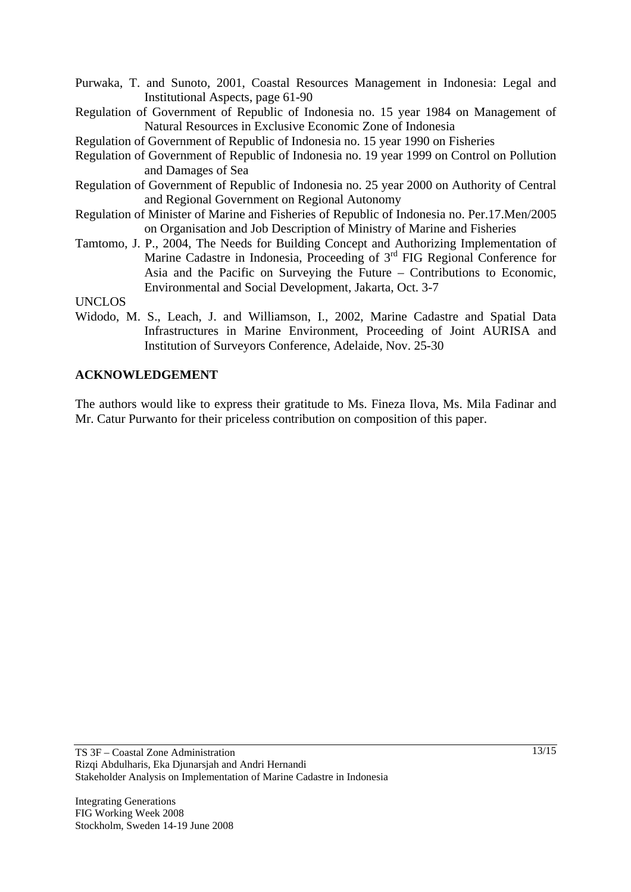- Purwaka, T. and Sunoto, 2001, Coastal Resources Management in Indonesia: Legal and Institutional Aspects, page 61-90
- Regulation of Government of Republic of Indonesia no. 15 year 1984 on Management of Natural Resources in Exclusive Economic Zone of Indonesia

Regulation of Government of Republic of Indonesia no. 15 year 1990 on Fisheries

- Regulation of Government of Republic of Indonesia no. 19 year 1999 on Control on Pollution and Damages of Sea
- Regulation of Government of Republic of Indonesia no. 25 year 2000 on Authority of Central and Regional Government on Regional Autonomy
- Regulation of Minister of Marine and Fisheries of Republic of Indonesia no. Per.17.Men/2005 on Organisation and Job Description of Ministry of Marine and Fisheries
- Tamtomo, J. P., 2004, The Needs for Building Concept and Authorizing Implementation of Marine Cadastre in Indonesia, Proceeding of  $3<sup>rd</sup>$  FIG Regional Conference for Asia and the Pacific on Surveying the Future – Contributions to Economic, Environmental and Social Development, Jakarta, Oct. 3-7

UNCLOS

Widodo, M. S., Leach, J. and Williamson, I., 2002, Marine Cadastre and Spatial Data Infrastructures in Marine Environment, Proceeding of Joint AURISA and Institution of Surveyors Conference, Adelaide, Nov. 25-30

#### **ACKNOWLEDGEMENT**

The authors would like to express their gratitude to Ms. Fineza Ilova, Ms. Mila Fadinar and Mr. Catur Purwanto for their priceless contribution on composition of this paper.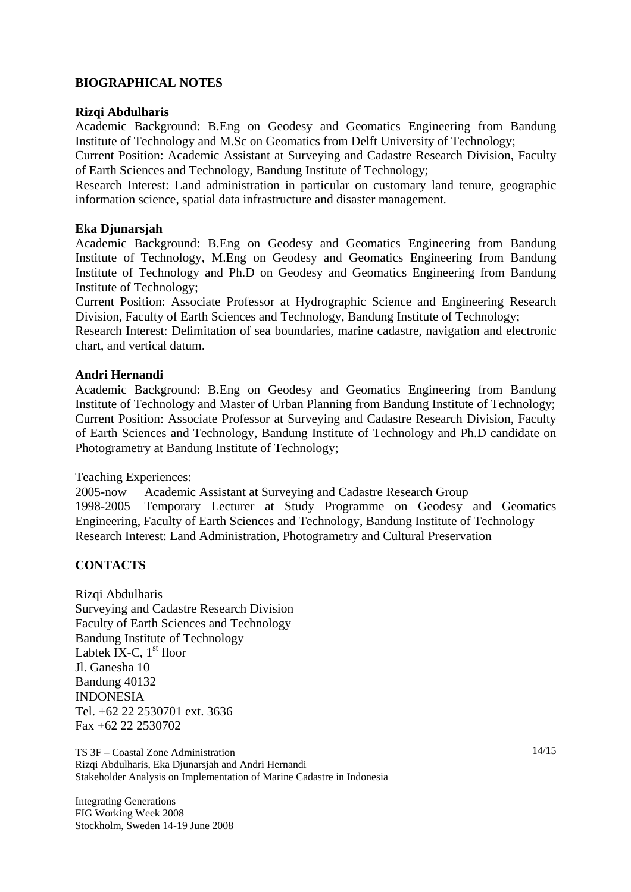#### **BIOGRAPHICAL NOTES**

#### **Rizqi Abdulharis**

Academic Background: B.Eng on Geodesy and Geomatics Engineering from Bandung Institute of Technology and M.Sc on Geomatics from Delft University of Technology;

Current Position: Academic Assistant at Surveying and Cadastre Research Division, Faculty of Earth Sciences and Technology, Bandung Institute of Technology;

Research Interest: Land administration in particular on customary land tenure, geographic information science, spatial data infrastructure and disaster management.

#### **Eka Djunarsjah**

Academic Background: B.Eng on Geodesy and Geomatics Engineering from Bandung Institute of Technology, M.Eng on Geodesy and Geomatics Engineering from Bandung Institute of Technology and Ph.D on Geodesy and Geomatics Engineering from Bandung Institute of Technology;

Current Position: Associate Professor at Hydrographic Science and Engineering Research Division, Faculty of Earth Sciences and Technology, Bandung Institute of Technology;

Research Interest: Delimitation of sea boundaries, marine cadastre, navigation and electronic chart, and vertical datum.

#### **Andri Hernandi**

Academic Background: B.Eng on Geodesy and Geomatics Engineering from Bandung Institute of Technology and Master of Urban Planning from Bandung Institute of Technology; Current Position: Associate Professor at Surveying and Cadastre Research Division, Faculty of Earth Sciences and Technology, Bandung Institute of Technology and Ph.D candidate on Photogrametry at Bandung Institute of Technology;

Teaching Experiences:

2005-now Academic Assistant at Surveying and Cadastre Research Group 1998-2005 Temporary Lecturer at Study Programme on Geodesy and Geomatics Engineering, Faculty of Earth Sciences and Technology, Bandung Institute of Technology Research Interest: Land Administration, Photogrametry and Cultural Preservation

#### **CONTACTS**

Rizqi Abdulharis Surveying and Cadastre Research Division Faculty of Earth Sciences and Technology Bandung Institute of Technology Labtek IX-C,  $1<sup>st</sup>$  floor Jl. Ganesha 10 Bandung 40132 INDONESIA Tel. +62 22 2530701 ext. 3636 Fax +62 22 2530702

TS 3F – Coastal Zone Administration Rizqi Abdulharis, Eka Djunarsjah and Andri Hernandi Stakeholder Analysis on Implementation of Marine Cadastre in Indonesia

Integrating Generations FIG Working Week 2008 Stockholm, Sweden 14-19 June 2008 14/15